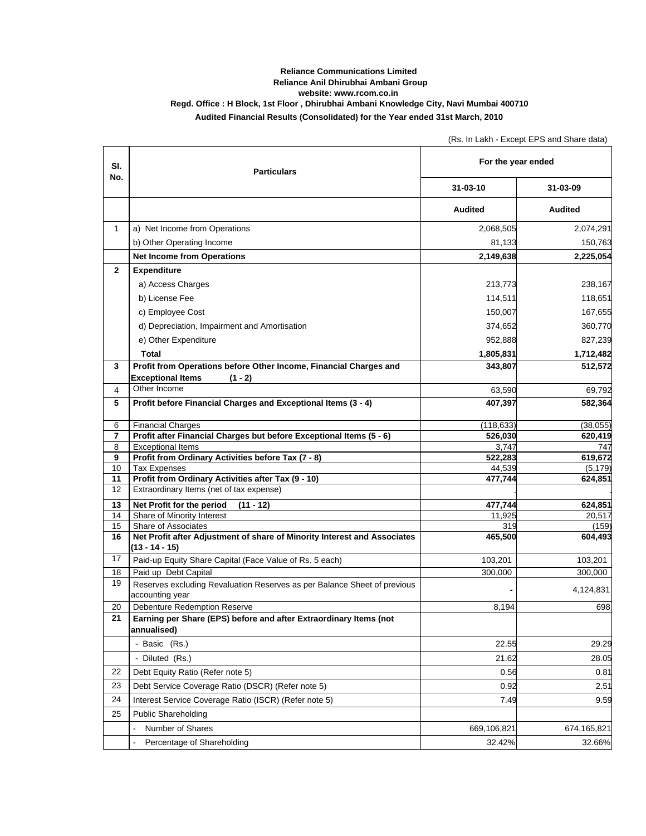## **Reliance Communications Limited Reliance Anil Dhirubhai Ambani Group website: www.rcom.co.in Regd. Office : H Block, 1st Floor , Dhirubhai Ambani Knowledge City, Navi Mumbai 400710 Audited Financial Results (Consolidated) for the Year ended 31st March, 2010**

|                |                                                                                                 | (Rs. In Lakh - Except EPS and Share data) |                  |
|----------------|-------------------------------------------------------------------------------------------------|-------------------------------------------|------------------|
| SI.<br>No.     | <b>Particulars</b>                                                                              | For the year ended                        |                  |
|                |                                                                                                 | $31 - 03 - 10$                            | 31-03-09         |
|                |                                                                                                 | <b>Audited</b>                            | <b>Audited</b>   |
| 1              | a) Net Income from Operations                                                                   | 2,068,505                                 | 2,074,291        |
|                | b) Other Operating Income                                                                       | 81,133                                    | 150,763          |
|                | <b>Net Income from Operations</b>                                                               | 2,149,638                                 | 2,225,054        |
| $\mathbf{2}$   | <b>Expenditure</b>                                                                              |                                           |                  |
|                | a) Access Charges                                                                               | 213,773                                   | 238,167          |
|                | b) License Fee                                                                                  | 114,511                                   | 118,651          |
|                | c) Employee Cost                                                                                | 150,007                                   | 167,655          |
|                | d) Depreciation, Impairment and Amortisation                                                    | 374,652                                   | 360,770          |
|                | e) Other Expenditure                                                                            | 952,888                                   | 827,239          |
|                | <b>Total</b>                                                                                    | 1,805,831                                 | 1,712,482        |
| 3              | Profit from Operations before Other Income, Financial Charges and                               | 343,807                                   | 512,572          |
|                | <b>Exceptional Items</b><br>$(1 - 2)$                                                           |                                           |                  |
| $\overline{4}$ | Other Income                                                                                    | 63,590                                    | 69,792           |
| 5              | Profit before Financial Charges and Exceptional Items (3 - 4)                                   | 407,397                                   | 582,364          |
| 6              | <b>Financial Charges</b>                                                                        | (118, 633)                                | (38,055)         |
| 7              | Profit after Financial Charges but before Exceptional Items (5 - 6)                             | 526,030                                   | 620,419          |
| 8<br>9         | <b>Exceptional Items</b><br>Profit from Ordinary Activities before Tax (7 - 8)                  | 3,747<br>522,283                          | 747<br>619,672   |
| 10             | <b>Tax Expenses</b>                                                                             | 44,539                                    | (5, 179)         |
| 11             | Profit from Ordinary Activities after Tax (9 - 10)                                              | 477,744                                   | 624,851          |
| 12             | Extraordinary Items (net of tax expense)                                                        |                                           |                  |
| 13             | Net Profit for the period<br>$(11 - 12)$                                                        | 477,744                                   | 624,851          |
| 14             | Share of Minority Interest                                                                      | 11,925                                    | 20,517           |
| 15<br>16       | Share of Associates<br>Net Profit after Adjustment of share of Minority Interest and Associates | 319<br>465,500                            | (159)<br>604,493 |
|                | $(13 - 14 - 15)$                                                                                |                                           |                  |
| 17             | Paid-up Equity Share Capital (Face Value of Rs. 5 each)                                         | 103,201                                   | 103,201          |
| 18             | Paid up Debt Capital                                                                            | 300,000                                   | 300,000          |
| 19             | Reserves excluding Revaluation Reserves as per Balance Sheet of previous<br>accounting year     |                                           | 4,124,831        |
| 20             | Debenture Redemption Reserve                                                                    | 8,194                                     | 698              |
| 21             | Earning per Share (EPS) before and after Extraordinary Items (not<br>annualised)                |                                           |                  |
|                | - Basic (Rs.)                                                                                   | 22.55                                     | 29.29            |
|                | - Diluted (Rs.)                                                                                 | 21.62                                     | 28.05            |
| 22             | Debt Equity Ratio (Refer note 5)                                                                | 0.56                                      | 0.81             |
| 23             | Debt Service Coverage Ratio (DSCR) (Refer note 5)                                               | 0.92                                      | 2.51             |
| 24             | Interest Service Coverage Ratio (ISCR) (Refer note 5)                                           | 7.49                                      | 9.59             |
| 25             | <b>Public Shareholding</b>                                                                      |                                           |                  |
|                | Number of Shares                                                                                | 669,106,821                               | 674,165,821      |
|                | Percentage of Shareholding                                                                      | 32.42%                                    | 32.66%           |
|                |                                                                                                 |                                           |                  |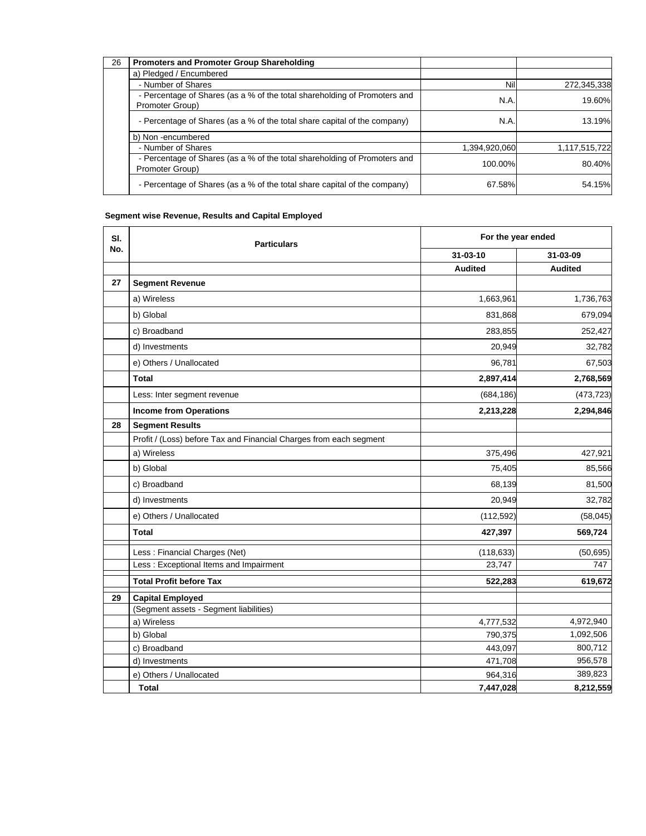| 26 | <b>Promoters and Promoter Group Shareholding</b>                                             |               |               |
|----|----------------------------------------------------------------------------------------------|---------------|---------------|
|    | a) Pledged / Encumbered                                                                      |               |               |
|    | - Number of Shares                                                                           | Nill          | 272,345,338   |
|    | - Percentage of Shares (as a % of the total shareholding of Promoters and<br>Promoter Group) | N.A.          | 19.60%        |
|    | - Percentage of Shares (as a % of the total share capital of the company)                    | N.A.          | 13.19%        |
|    | b) Non-encumbered                                                                            |               |               |
|    | - Number of Shares                                                                           | 1,394,920,060 | 1,117,515,722 |
|    | - Percentage of Shares (as a % of the total shareholding of Promoters and<br>Promoter Group) | 100.00%       | 80.40%        |
|    | - Percentage of Shares (as a % of the total share capital of the company)                    | 67.58%        | 54.15%        |

## **Segment wise Revenue, Results and Capital Employed**

| SI.<br>No. | <b>Particulars</b>                                                 | For the year ended |                |
|------------|--------------------------------------------------------------------|--------------------|----------------|
|            |                                                                    | 31-03-10           | 31-03-09       |
|            |                                                                    | <b>Audited</b>     | <b>Audited</b> |
| 27         | <b>Segment Revenue</b>                                             |                    |                |
|            | a) Wireless                                                        | 1,663,961          | 1,736,763      |
|            | b) Global                                                          | 831,868            | 679,094        |
|            | c) Broadband                                                       | 283,855            | 252,427        |
|            | d) Investments                                                     | 20,949             | 32,782         |
|            | e) Others / Unallocated                                            | 96,781             | 67,503         |
|            | <b>Total</b>                                                       | 2,897,414          | 2,768,569      |
|            | Less: Inter segment revenue                                        | (684, 186)         | (473, 723)     |
|            | <b>Income from Operations</b>                                      | 2,213,228          | 2,294,846      |
| 28         | <b>Segment Results</b>                                             |                    |                |
|            | Profit / (Loss) before Tax and Financial Charges from each segment |                    |                |
|            | a) Wireless                                                        | 375,496            | 427,921        |
|            | b) Global                                                          | 75,405             | 85,566         |
|            | c) Broadband                                                       | 68,139             | 81,500         |
|            | d) Investments                                                     | 20,949             | 32,782         |
|            | e) Others / Unallocated                                            | (112, 592)         | (58, 045)      |
|            | <b>Total</b>                                                       | 427,397            | 569,724        |
|            | Less: Financial Charges (Net)                                      | (118, 633)         | (50, 695)      |
|            | Less: Exceptional Items and Impairment                             | 23,747             | 747            |
|            | <b>Total Profit before Tax</b>                                     | 522,283            | 619,672        |
| 29         | <b>Capital Employed</b>                                            |                    |                |
|            | (Segment assets - Segment liabilities)                             |                    |                |
|            | a) Wireless                                                        | 4,777,532          | 4,972,940      |
|            | b) Global                                                          | 790,375            | 1,092,506      |
|            | c) Broadband                                                       | 443,097            | 800,712        |
|            | d) Investments                                                     | 471,708            | 956,578        |
|            | e) Others / Unallocated                                            | 964,316            | 389,823        |
|            | <b>Total</b>                                                       | 7,447,028          | 8,212,559      |